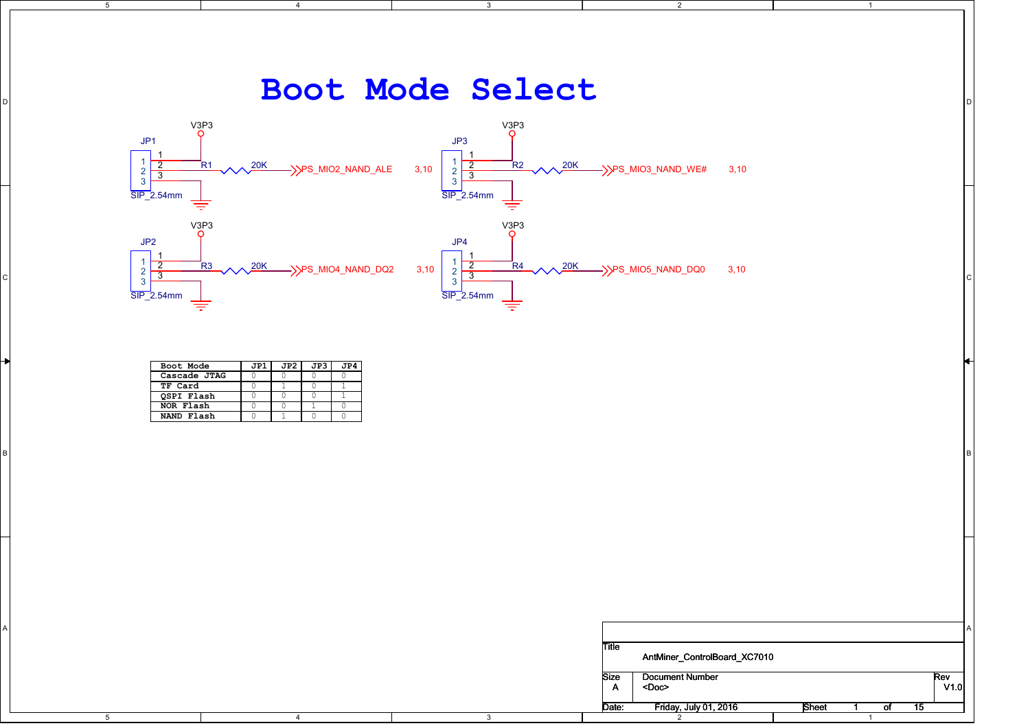

| Boot Mode         | JP1 | JP2 I | JP3 l | TP4. |
|-------------------|-----|-------|-------|------|
| Cascade JTAG      |     |       |       |      |
| TF Card           |     |       |       |      |
| <b>QSPI Flash</b> |     |       |       |      |
| NOR Flash         |     |       |       |      |
| NAND Flash        |     |       |       |      |

|                       |                                            |              |              |                                       |              | łН |
|-----------------------|--------------------------------------------|--------------|--------------|---------------------------------------|--------------|----|
| Boot Mode             | $JPI$ $JP2$ $JP3$ $JP4$                    |              |              |                                       |              |    |
| Cascade JTAG          | $\circ$                                    |              |              |                                       |              |    |
| TF Card<br>QSPI Flash | $\circ$<br>$\cap$<br>$\bigcap$             |              |              |                                       |              |    |
| NOR Flash             | $\circ$<br>$\circ$                         |              |              |                                       |              |    |
| NAND Flash            | $\overline{0}$<br>$\overline{0}$<br>$\cap$ |              |              |                                       |              |    |
|                       |                                            |              |              |                                       |              |    |
|                       |                                            |              |              |                                       |              |    |
|                       |                                            |              |              |                                       |              |    |
|                       |                                            |              |              |                                       |              |    |
|                       |                                            |              |              |                                       |              |    |
|                       |                                            |              |              |                                       |              |    |
|                       |                                            |              |              |                                       |              |    |
|                       |                                            |              |              |                                       |              |    |
|                       |                                            |              |              |                                       |              |    |
|                       |                                            |              |              |                                       |              |    |
|                       |                                            |              |              |                                       |              |    |
|                       |                                            |              |              |                                       |              |    |
|                       |                                            |              |              |                                       |              |    |
|                       |                                            |              |              |                                       |              |    |
|                       |                                            |              |              |                                       |              |    |
|                       |                                            |              |              |                                       |              |    |
|                       |                                            |              |              |                                       |              |    |
|                       |                                            |              |              |                                       |              |    |
|                       |                                            |              |              |                                       |              |    |
|                       |                                            |              |              |                                       |              |    |
|                       |                                            |              | Title        |                                       |              |    |
|                       |                                            |              |              | AntMiner_ControlBoard_XC7010          |              |    |
|                       |                                            |              |              |                                       |              |    |
|                       |                                            |              | Size         | Document Number                       | $Rev$ $V1.0$ |    |
|                       |                                            |              | $\mathsf{A}$ | $<$ Doc>                              |              |    |
|                       |                                            |              |              |                                       |              |    |
|                       |                                            |              | Date:        | Friday, July 01, 2016<br>Sheet<br>- 1 | of $15$      |    |
| 5                     | $\overline{4}$                             | $\mathbf{3}$ |              | $\overline{2}$                        |              |    |
|                       |                                            |              |              |                                       |              |    |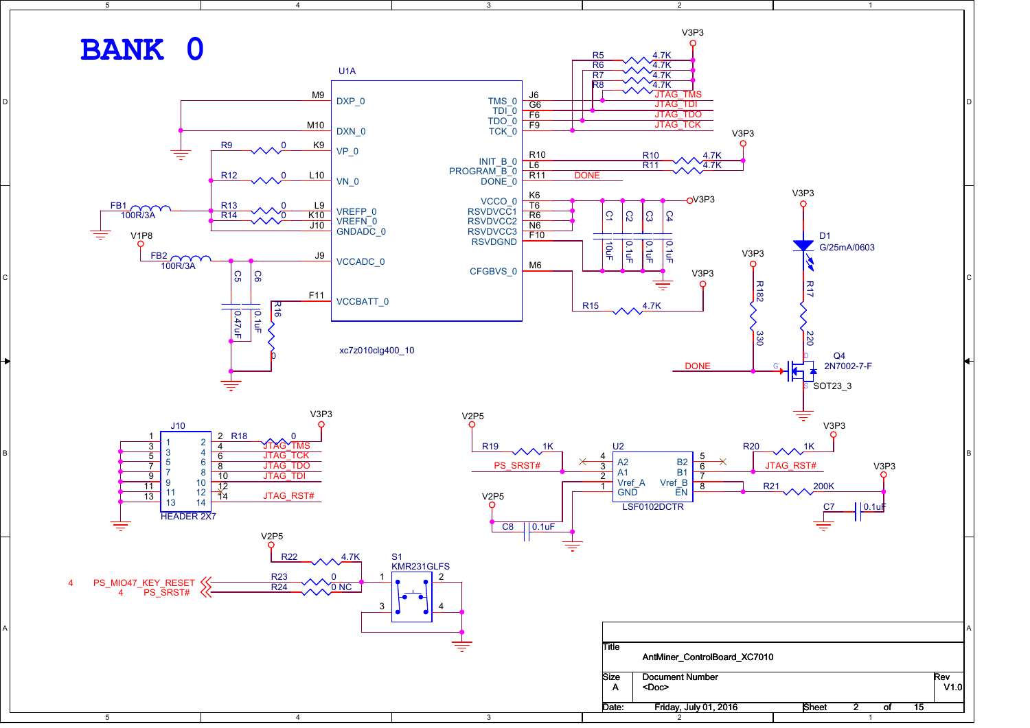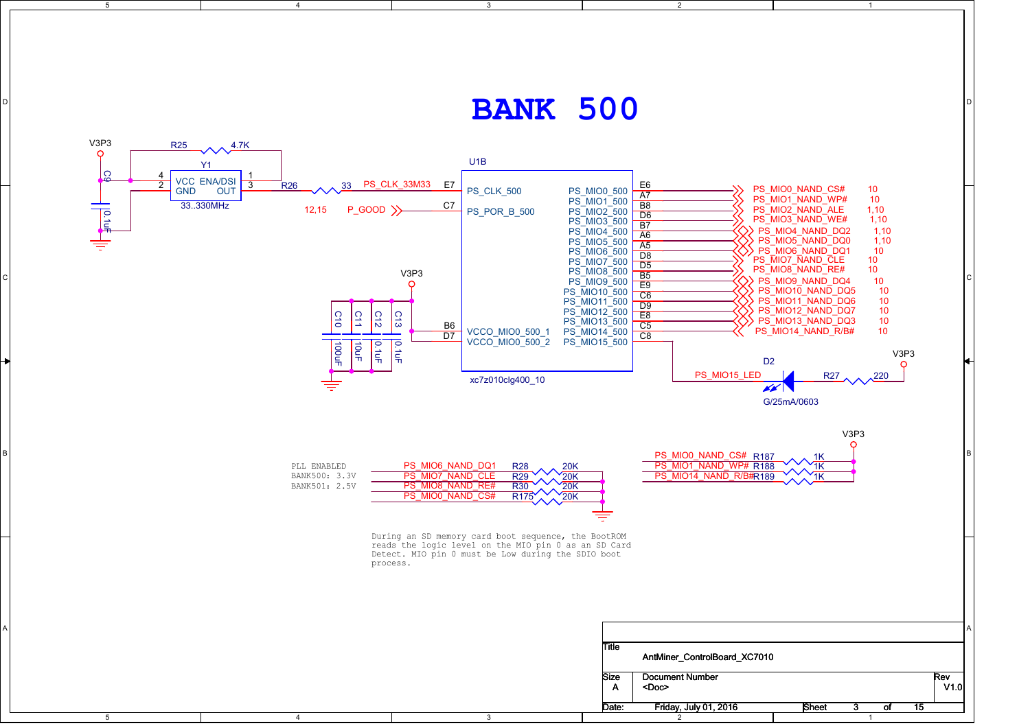## $\mathbf{BANK}$  500

2

1

3

5

4

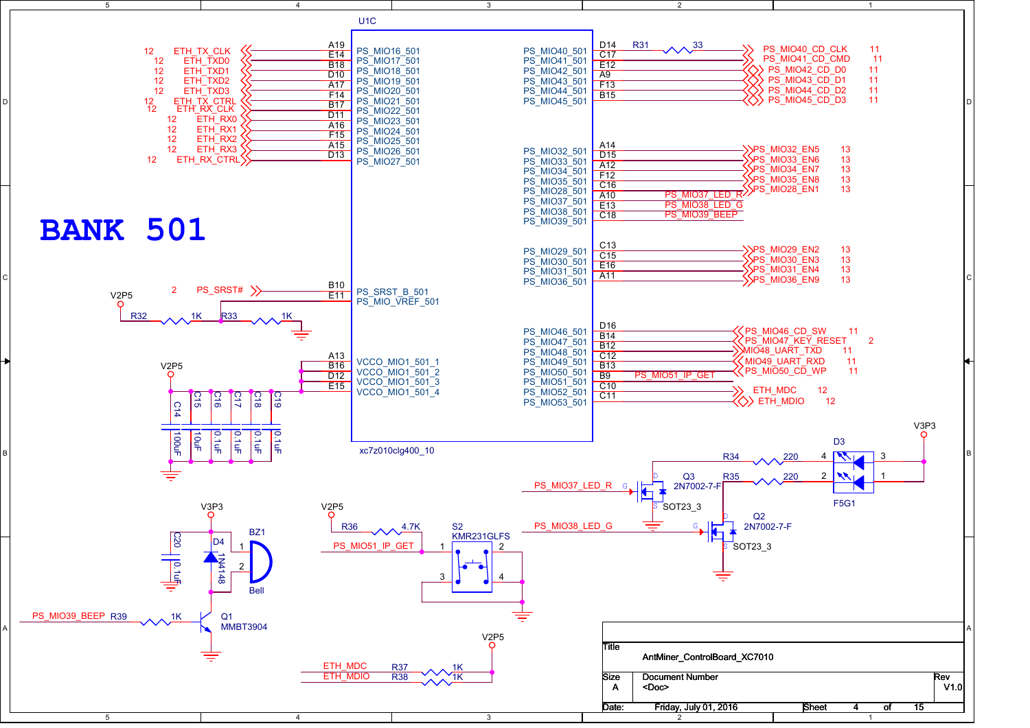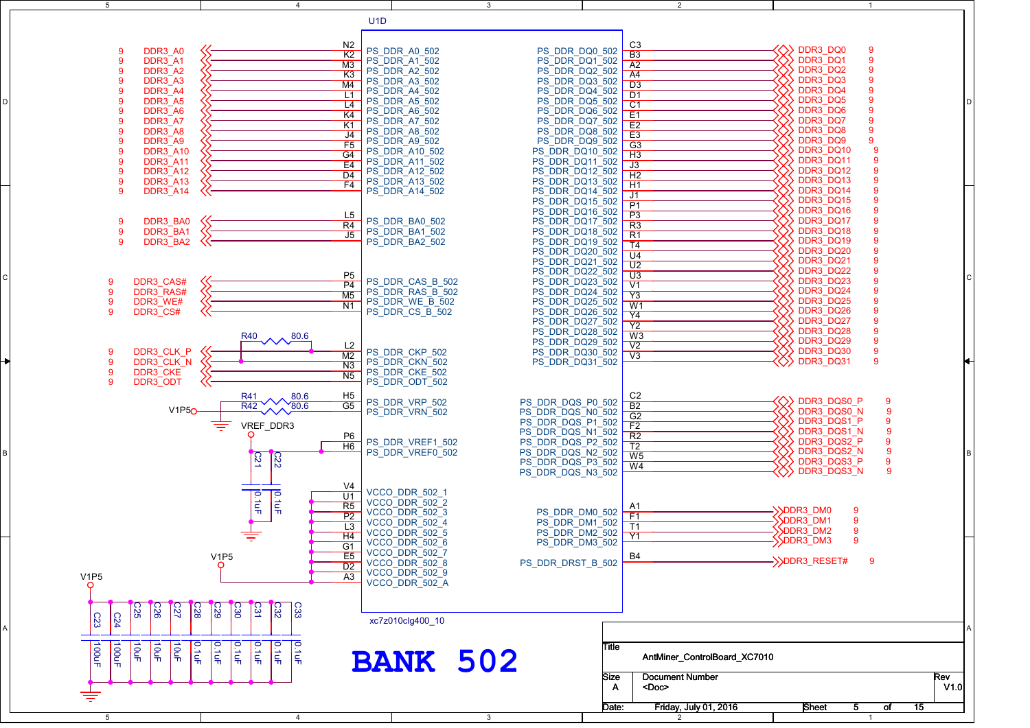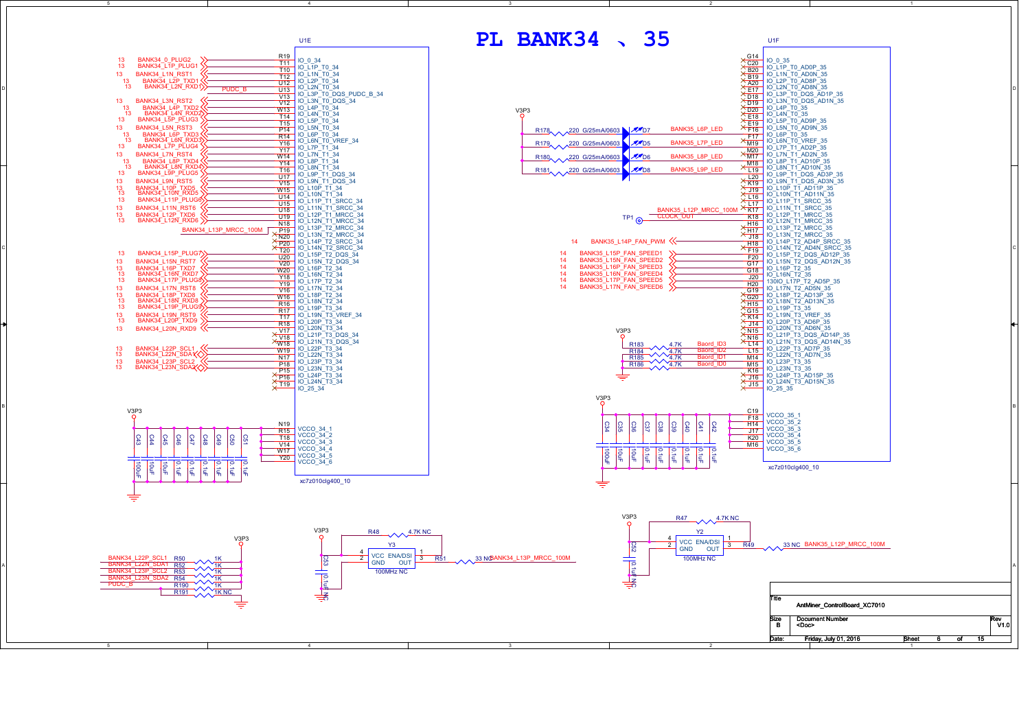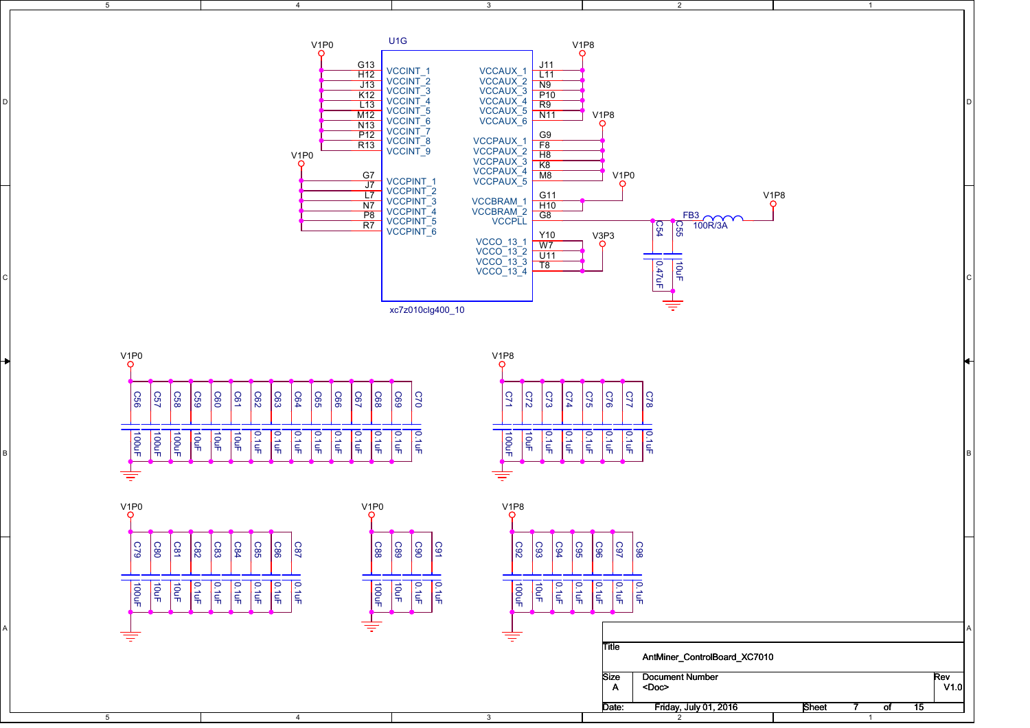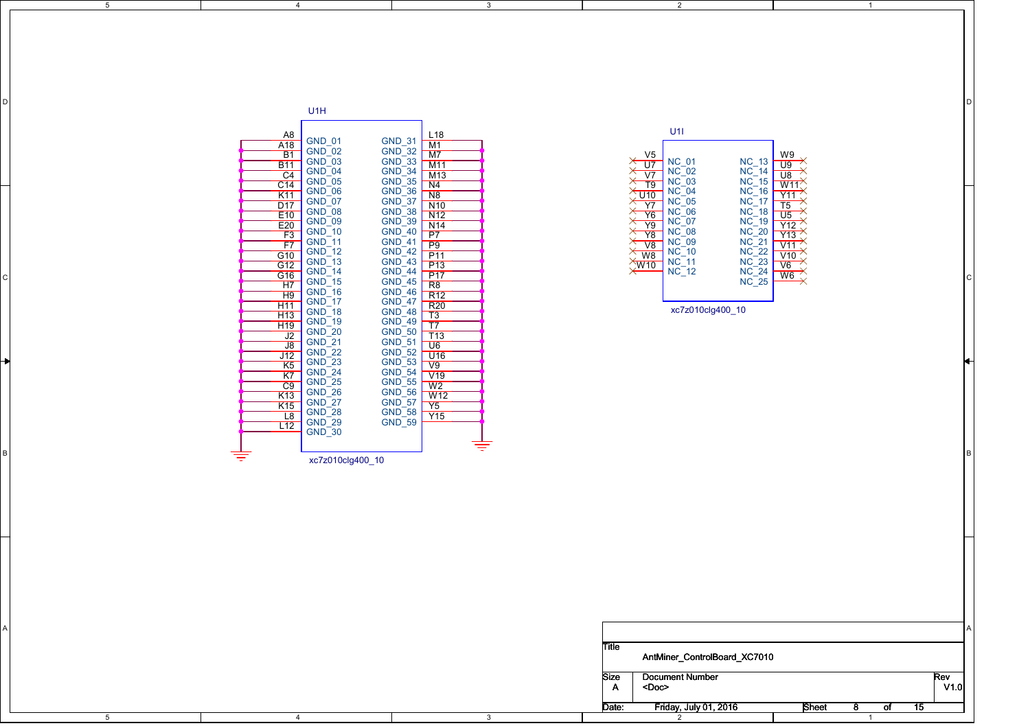| U1H<br>U1I<br>A8<br>A18<br>B1<br>$\begin{array}{r l l} \textbf{\textcolor{red}{\emph{LM1}}} & \textbf{\textcolor{red}{\emph{M1}}} \\ \hline \textbf{\textcolor{red}{\emph{M1}}} & \textbf{\textcolor{red}{\emph{M1}}} \\ \textbf{\textcolor{red}{\emph{M1}}} & \textbf{\textcolor{red}{\emph{M1}}} \\ \textbf{\textcolor{red}{\emph{M1}}} & \textbf{\textcolor{red}{\emph{M1}}} \\ \textbf{\textcolor{red}{\emph{N1}}} & \textbf{\textcolor{red}{\emph{N1}}} \\ \textbf{\textcolor{red}{\emph{N1}}} & \textbf{\textcolor{red}{\emph{R1}}} \\ \text$<br>GND_01<br>GND_03<br>GND_05<br>GND_05<br>GND_05<br>GND_06<br>GND_06<br>GND_11<br>GND_11<br>GND_15<br>GND_11<br>GND_11<br>GND_11<br>GND_15<br>GND_11<br>GND_11<br>GND_11<br>GND_11<br>GND_11<br>GND_11<br>GND_11<br>GND_11<br>GND_11<br>GND_15<br>GND_15<br>GND_11<br>GND_11<br>GND_11<br>GND_31<br>GND_33<br>GND_33<br>GND_33<br>GND_35<br>GND_38<br>GND_53<br>GND_44<br>GND_44<br>GND_44<br>GND_44<br>GND_44<br>GND_44<br>GND_44<br>GND_44<br>GND_44<br>GND_44<br>GND_44<br>GND_44<br>GND_44<br>GND_44<br>GND_44<br>GND_44<br>GND_44<br>GND_44<br>GND_44<br>GND_44<br>GND_44<br>$\begin{tabular}{c c} $\times$ & $\mathsf{V5} $\\ $\times$ & $\mathsf{NC}_{}$ & $\mathsf{NC}_{}$ \\ \hline $\times$ & $\mathsf{V7}$ & $\mathsf{NC}_{}$ & $\mathsf{O2}$ \\ $\times$ & $\mathsf{V7}_{}$ & $\mathsf{NC}_{}$ & $\mathsf{O3}$ \\ $\times$ & $\mathsf{V8}_{}$ & $\mathsf{NC}_{}$ & $\mathsf{O4}$ \\ $\times$ & $\mathsf{V7}_{}$ & $\mathsf{NC}_{}$ & $\mathsf{O6}$ \\ $\times$ & $\mathsf{V8}_{}$ & $\mathsf{NC}_{}$ & $\mathsf{O8}$ \\ $\times$ & $\mathsf{V8}_{}$ & $\mathsf{NC$<br>$\begin{array}{r} \text{W9} \rightarrow \\ \text{U9} \rightarrow \\ \text{W11} \rightarrow \\ \text{W11} \rightarrow \\ \text{V12} \rightarrow \\ \text{V13} \rightarrow \\ \text{V14} \rightarrow \\ \text{V15} \rightarrow \\ \text{V16} \rightarrow \\ \text{V6} \rightarrow \\ \text{W6} \rightarrow \\ \text{W6} \rightarrow \\ \end{array}$<br>NC_13<br>NC_14<br>NC_15<br>NC_15<br>NC_16<br>NC_17<br>NC_22<br>NC_22<br>NC_22<br>NC_22<br>NC_22<br>NC_22<br>NC_22<br>NC_22<br>NC_22<br>NC_22<br>NC_22<br>NC_22<br>NC_22<br>$\overline{B11}$<br>$\frac{C4}{C14}$<br>K11<br>D17<br>E10<br>E20<br>F3<br>F7<br>G10<br>G12<br>G16<br>H7<br>H9<br>$\frac{+111}{+113}$<br>xc7z010clg400_10<br>$\frac{113}{\sqrt{12}}$ $\frac{112}{\sqrt{12}}$ $\frac{112}{\sqrt{12}}$ $\frac{112}{\sqrt{12}}$ $\frac{112}{\sqrt{12}}$ $\frac{112}{\sqrt{12}}$ $\frac{112}{\sqrt{12}}$<br>$\frac{18}{112}$<br>专<br>₹<br>xc7z010clg400_10 |  | -4 |  |  |      |
|--------------------------------------------------------------------------------------------------------------------------------------------------------------------------------------------------------------------------------------------------------------------------------------------------------------------------------------------------------------------------------------------------------------------------------------------------------------------------------------------------------------------------------------------------------------------------------------------------------------------------------------------------------------------------------------------------------------------------------------------------------------------------------------------------------------------------------------------------------------------------------------------------------------------------------------------------------------------------------------------------------------------------------------------------------------------------------------------------------------------------------------------------------------------------------------------------------------------------------------------------------------------------------------------------------------------------------------------------------------------------------------------------------------------------------------------------------------------------------------------------------------------------------------------------------------------------------------------------------------------------------------------------------------------------------------------------------------------------------------------------------------------------------------------------------------------------------------------------------------------------------------------------------------------------------------------------------------------------------------------------------------------------------------------------------------------------------------------------------------------------------------------------------------------------------------------------------------------------------------------------------------------------------------------------------------------------------------------------------------------------------------------------------------------------------------------------------------------------------------------------------------------------------------------------------------|--|----|--|--|------|
|                                                                                                                                                                                                                                                                                                                                                                                                                                                                                                                                                                                                                                                                                                                                                                                                                                                                                                                                                                                                                                                                                                                                                                                                                                                                                                                                                                                                                                                                                                                                                                                                                                                                                                                                                                                                                                                                                                                                                                                                                                                                                                                                                                                                                                                                                                                                                                                                                                                                                                                                                              |  |    |  |  |      |
| Title<br>AntMiner_ControlBoard_XC7010<br><b>Document Number</b><br>Rev<br>Size<br>$\mathbf{A}$<br><doc><br/>Friday, July 01, 2016<br/>Date:<br/>Sheet<br/>of<br/>- 15<br/>8.</doc>                                                                                                                                                                                                                                                                                                                                                                                                                                                                                                                                                                                                                                                                                                                                                                                                                                                                                                                                                                                                                                                                                                                                                                                                                                                                                                                                                                                                                                                                                                                                                                                                                                                                                                                                                                                                                                                                                                                                                                                                                                                                                                                                                                                                                                                                                                                                                                           |  |    |  |  | V1.0 |

 $\overline{\mathbf{3}}$ 

 $\overline{2}$ 

 $\overline{1}$ 

D

 $5\overline{)}$ 

 $\overline{4}$ 

C

B

A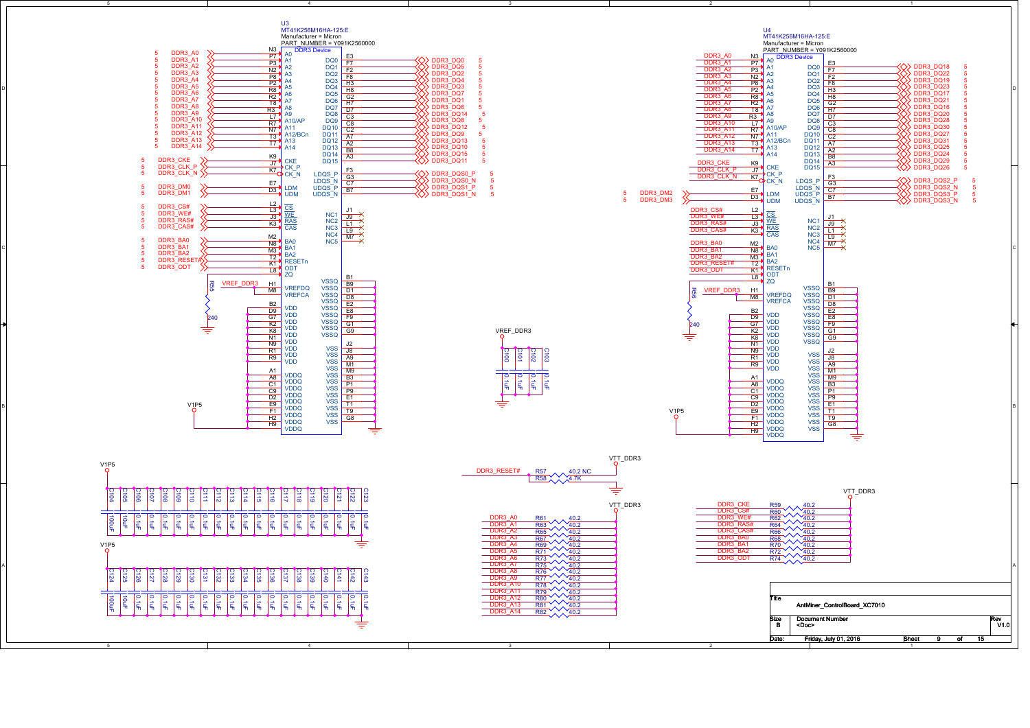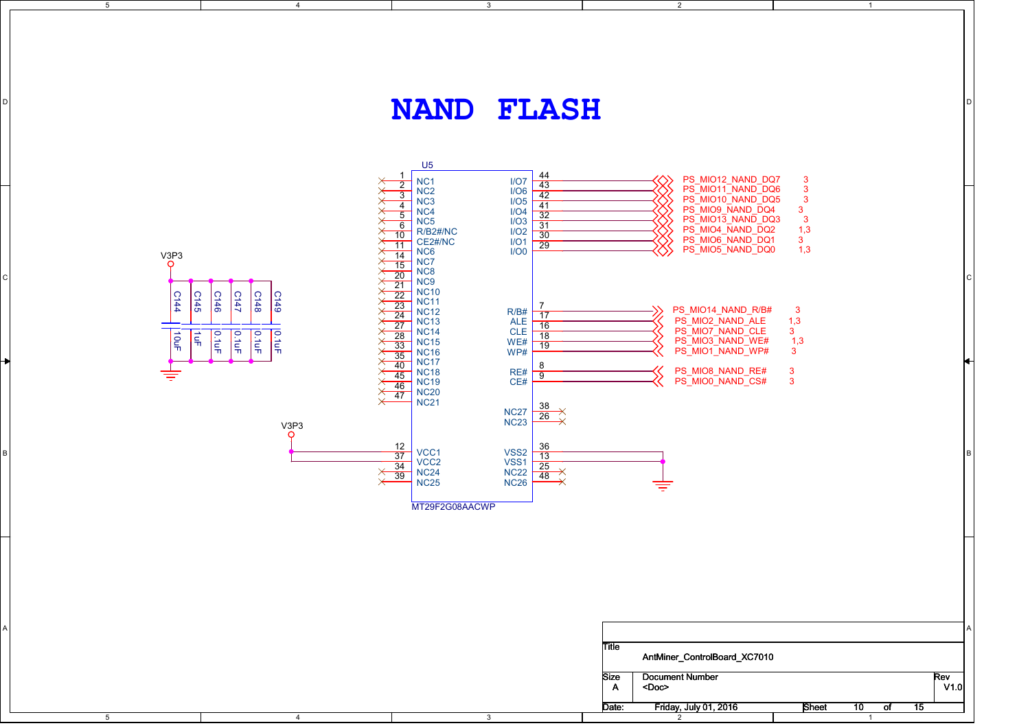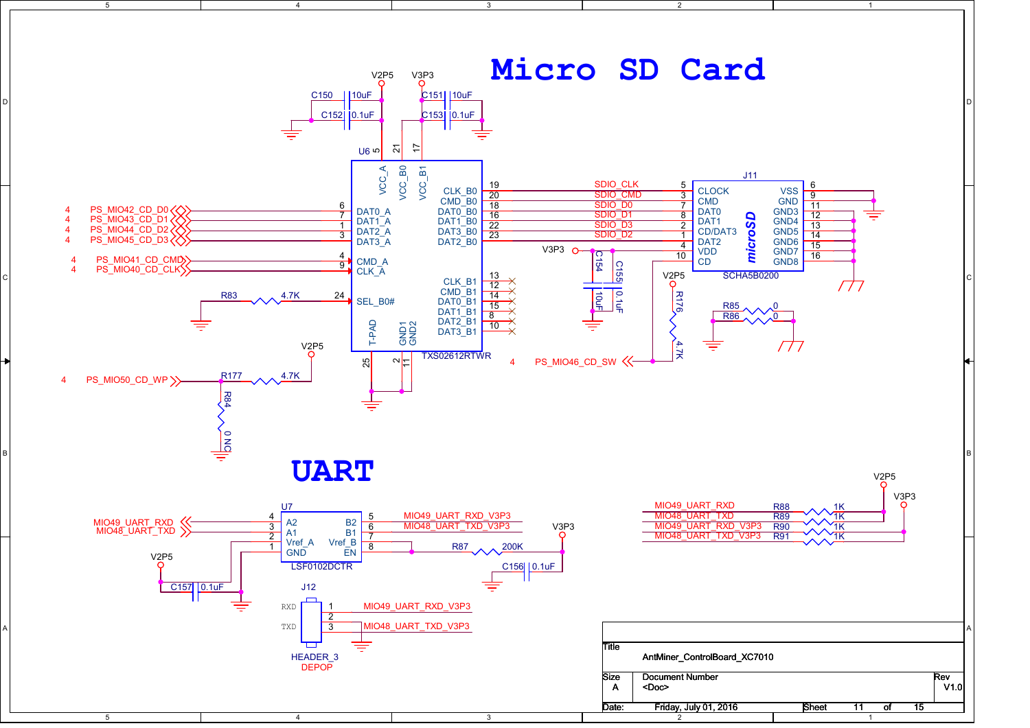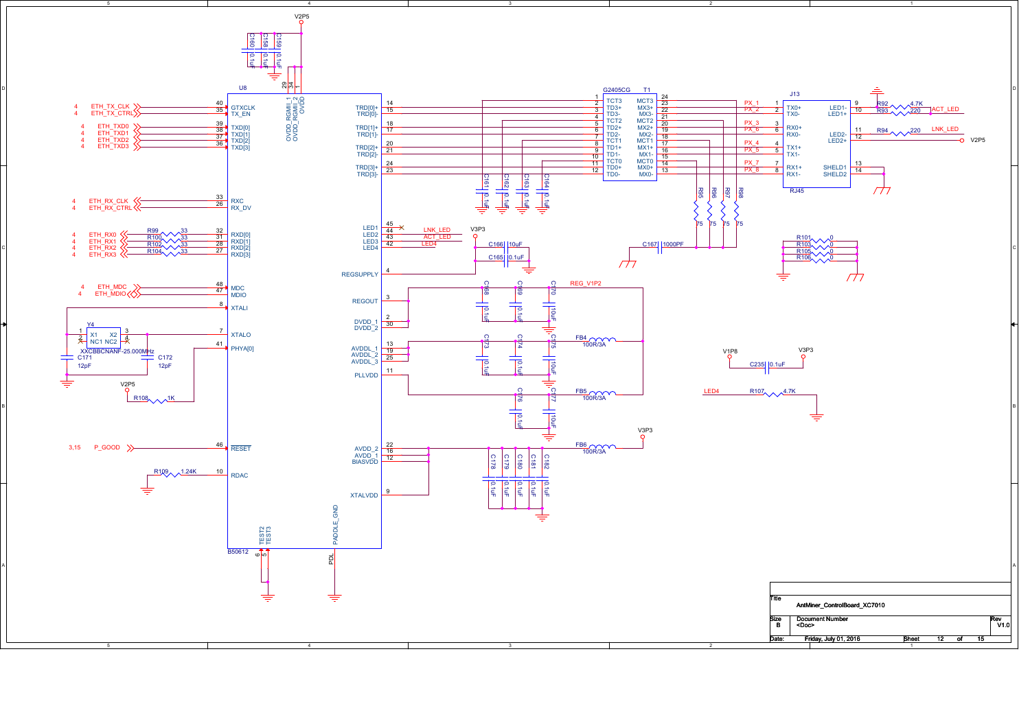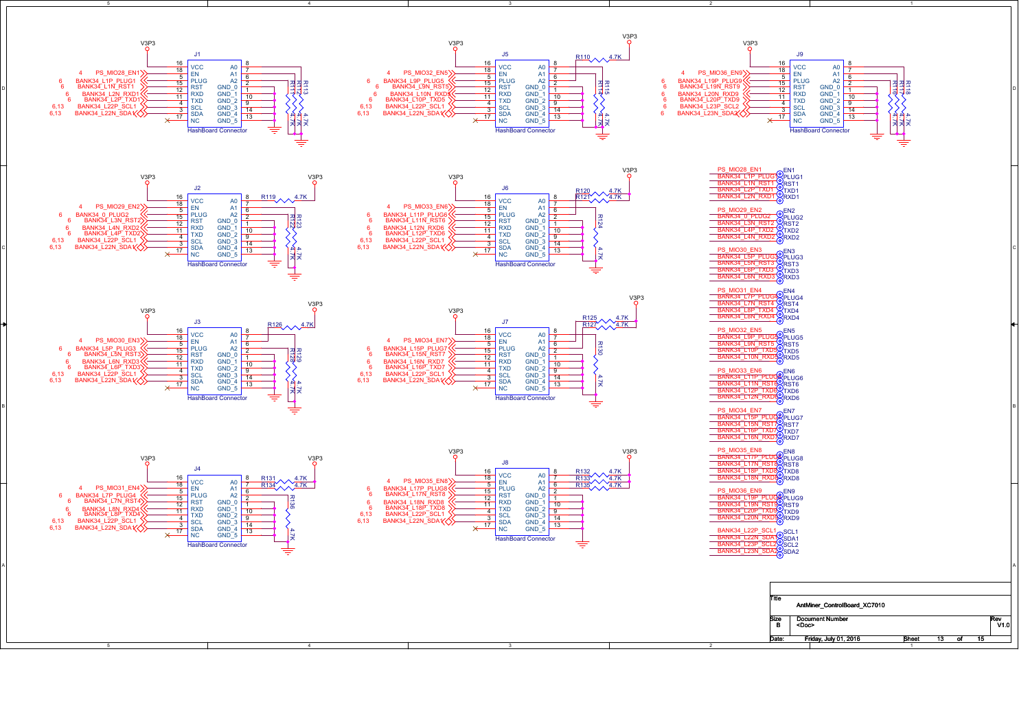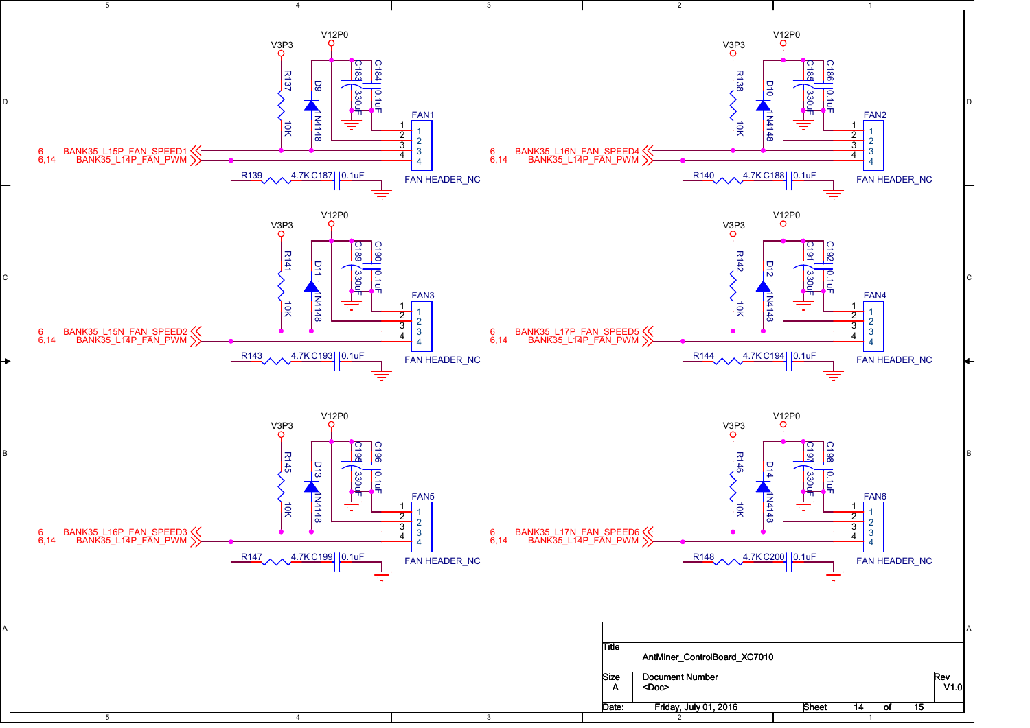